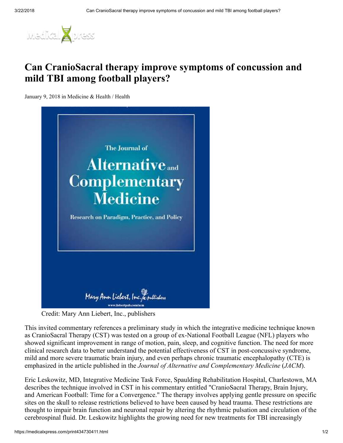

## Can CranioSacral therapy improve symptoms of concussion and mild TBI among football players?

January 9, 2018 in Medicine & Health / Health



Credit: Mary Ann Liebert, Inc., publishers

This invited commentary references a preliminary study in which the integrative medicine technique known as CranioSacral Therapy (CST) was tested on a group of ex-National Football League (NFL) players who showed significant improvement in range of motion, pain, sleep, and cognitive function. The need for more clinical research data to better understand the potential effectiveness of CST in post-concussive syndrome, mild and more severe traumatic brain injury, and even perhaps chronic traumatic encephalopathy (CTE) is emphasized in the article published in the *Journal of Alternative and Complementary Medicine* (*JACM*).

Eric Leskowitz, MD, Integrative Medicine Task Force, Spaulding Rehabilitation Hospital, Charlestown, MA describes the technique involved in CST in his commentary entitled "CranioSacral Therapy, Brain Injury, and American Football: Time for a Convergence." The therapy involves applying gentle pressure on specific sites on the skull to release restrictions believed to have been caused by head trauma. These restrictions are thought to impair brain function and neuronal repair by altering the rhythmic pulsation and circulation of the cerebrospinal fluid. Dr. Leskowitz highlights the growing need for new treatments for TBI increasingly